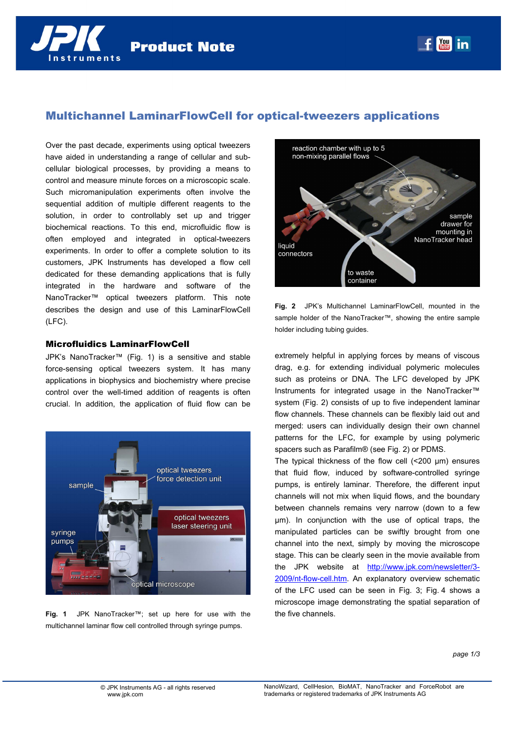**You in** 



# Multichannel LaminarFlowCell for optical-tweezers applications

Over the past decade, experiments using optical tweezers have aided in understanding a range of cellular and subcellular biological processes, by providing a means to control and measure minute forces on a microscopic scale. Such micromanipulation experiments often involve the sequential addition of multiple different reagents to the solution, in order to controllably set up and trigger biochemical reactions. To this end, microfluidic flow is often employed and integrated in optical-tweezers experiments. In order to offer a complete solution to its customers, JPK Instruments has developed a flow cell dedicated for these demanding applications that is fully integrated in the hardware and software of the NanoTracker™ optical tweezers platform. This note describes the design and use of this LaminarFlowCell (LFC).

### Microfluidics LaminarFlowCell

JPK's NanoTracker™ (Fig. 1) is a sensitive and stable force-sensing optical tweezers system. It has many applications in biophysics and biochemistry where precise control over the well-timed addition of reagents is often crucial. In addition, the application of fluid flow can be



**Fig. 1** JPK NanoTracker™; set up here for use with the multichannel laminar flow cell controlled through syringe pumps.



**Fig. 2** JPK's Multichannel LaminarFlowCell, mounted in the sample holder of the NanoTracker™, showing the entire sample holder including tubing guides.

extremely helpful in applying forces by means of viscous drag, e.g. for extending individual polymeric molecules such as proteins or DNA. The LFC developed by JPK Instruments for integrated usage in the NanoTracker™ system (Fig. 2) consists of up to five independent laminar flow channels. These channels can be flexibly laid out and merged: users can individually design their own channel patterns for the LFC, for example by using polymeric spacers such as Parafilm® (see Fig. 2) or PDMS.

The typical thickness of the flow cell (<200 µm) ensures that fluid flow, induced by software-controlled syringe pumps, is entirely laminar. Therefore, the different input channels will not mix when liquid flows, and the boundary between channels remains very narrow (down to a few µm). In conjunction with the use of optical traps, the manipulated particles can be swiftly brought from one channel into the next, simply by moving the microscope stage. This can be clearly seen in the movie available from the JPK website at http://www.jpk.com/newsletter/3- 2009/nt-flow-cell.htm. An explanatory overview schematic of the LFC used can be seen in Fig. 3; Fig. 4 shows a microscope image demonstrating the spatial separation of the five channels.

*page 1/3*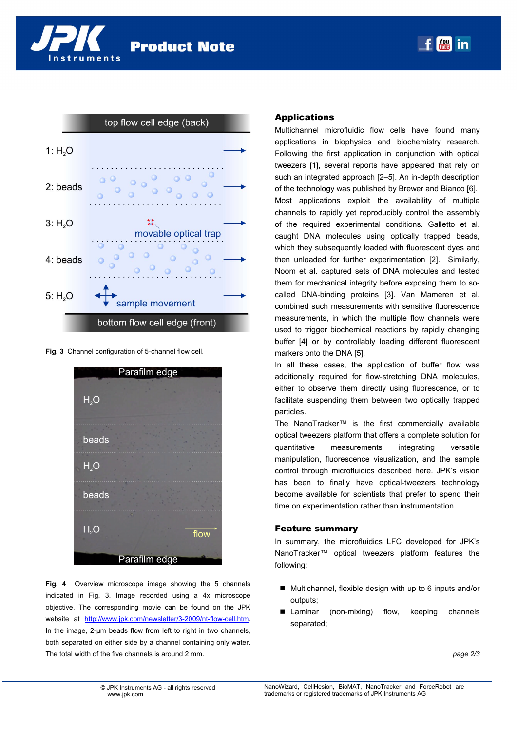nstruments



**Fig. 3** Channel configuration of 5-channel flow cell.



**Fig. 4** Overview microscope image showing the 5 channels indicated in Fig. 3. Image recorded using a 4x microscope objective. The corresponding movie can be found on the JPK website at http://www.jpk.com/newsletter/3-2009/nt-flow-cell.htm. In the image, 2-µm beads flow from left to right in two channels, both separated on either side by a channel containing only water. The total width of the five channels is around 2 mm.

## Applications

Multichannel microfluidic flow cells have found many applications in biophysics and biochemistry research. Following the first application in conjunction with optical tweezers [1], several reports have appeared that rely on such an integrated approach [2–5]. An in-depth description of the technology was published by Brewer and Bianco [6]. Most applications exploit the availability of multiple channels to rapidly yet reproducibly control the assembly of the required experimental conditions. Galletto et al. caught DNA molecules using optically trapped beads, which they subsequently loaded with fluorescent dyes and then unloaded for further experimentation [2]. Similarly, Noom et al. captured sets of DNA molecules and tested them for mechanical integrity before exposing them to socalled DNA-binding proteins [3]. Van Mameren et al. combined such measurements with sensitive fluorescence measurements, in which the multiple flow channels were used to trigger biochemical reactions by rapidly changing buffer [4] or by controllably loading different fluorescent markers onto the DNA [5].

In all these cases, the application of buffer flow was additionally required for flow-stretching DNA molecules, either to observe them directly using fluorescence, or to facilitate suspending them between two optically trapped particles.

The NanoTracker™ is the first commercially available optical tweezers platform that offers a complete solution for quantitative measurements integrating versatile manipulation, fluorescence visualization, and the sample control through microfluidics described here. JPK's vision has been to finally have optical-tweezers technology become available for scientists that prefer to spend their time on experimentation rather than instrumentation.

### Feature summary

In summary, the microfluidics LFC developed for JPK's NanoTracker™ optical tweezers platform features the following:

- Multichannel, flexible design with up to 6 inputs and/or outputs;
- Laminar (non-mixing) flow, keeping channels separated;

*page 2/3*